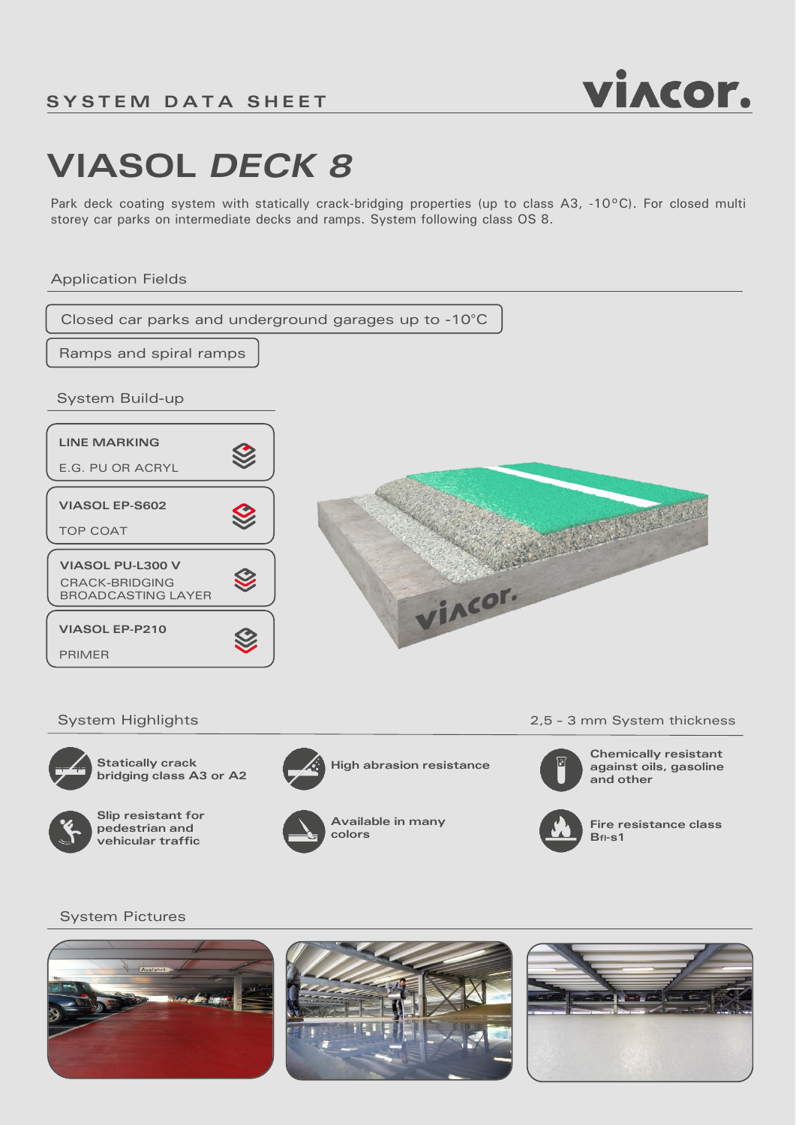

# **VIASOL** *DECK 8*

Park deck coating system with statically crack-bridging properties (up to class A3, -10°C). For closed multi storey car parks on intermediate decks and ramps. System following class OS 8.

### Application Fields





**Statically** crack **High abrasion resistance bridging class A3 or A2**



**Slip resistant for pedestrian and vehicular traffic**



**Available in many colors**

System Highlights 2,5 - 3 mm System thickness



**Chemically resistant against oils, gasoline and other**



**Fire resistance class Bfl-s1**

### System Pictures